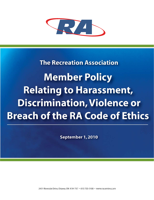

# **The Recreation Association Member Policy Relating to Harassment, Discrimination, Violence or Breach of the RA Code of Ethics**

September 1, 2010

2451 Riverside Drive, Ottawa, ON K1H 7X7 · 613 733-5100 · www.racentre.com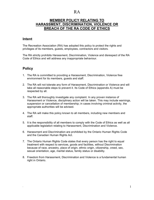#### **MEMBER POLICY RELATING TO HARASSMENT, DISCRIMINATION, VIOLENCE OR BREACH OF THE RA CODE OF ETHICS**

#### **Intent**

The Recreation Association (RA) has adopted this policy to protect the rights and privileges of its members, guests, employees, contractors and visitors.

The RA strictly prohibits Harassment, Discrimination, Violence and disrespect of the RA Code of Ethics and will address any inappropriate behaviour.

#### **Policy**

- 1. The RA is committed to providing a Harassment, Discrimination, Violence free environment for its members, guests and staff.
- 2. The RA will not tolerate any form of Harassment, Discrimination or Violence and will take all reasonable steps to prevent it. Its Code of Ethics (appendix A) must be respected by all.
- 3. The RA will thoroughly investigate any complaint. In any proven instance of Harassment or Violence, disciplinary action will be taken. This may include warnings, suspension or cancellation of membership; in cases involving criminal activity, the appropriate authorities will be advised.
- 4. The RA will make this policy known to all members, including new members and staff.
- 5. It is the responsibility of all members to comply with the Code of Ethics as well as all applicable legislation relating to Harassment, Discrimination and Violence.
- 6. Harassment and Discrimination are prohibited by the Ontario Human Rights Code and the Canadian Human Rights Act.
- 7. The Ontario Human Rights Code states that every person has the right to equal treatment with respect to services, goods and facilities, without Discrimination because of race, ancestry, place of origin, ethnic origin, citizenship, creed, sex, sexual orientation, age, marital status, family status or disability.
- 8. Freedom from Harassment, Discrimination and Violence is a fundamental human right in Ontario.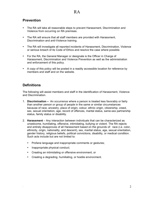#### **Prevention**

- The RA will take all reasonable steps to prevent Harassment, Discrimination and Violence from occurring on RA premises.
- The RA will ensure that all staff members are provided with Harassment, Discrimination and anti-Violence training.
- The RA will investigate all reported incidents of Harassment, Discrimination, Violence or serious breach of its Code of Ethics and resolve the case where possible.
- For the RA, the General Manager or designate is the Officer in Charge of Harassment, Discrimination and Violence Prevention as well as the administration and enforcement of this policy.
- A copy of this policy will be posted in a readily accessible location for reference by members and staff and on the website.

#### **Definitions**

The following will assist members and staff in the identification of Harassment, Violence and Discrimination.

- 1. **Discrimination –** An occurrence where a person is treated less favorably or fairly than another person or group of people in the same or similar circumstances because of race, ancestry, place of origin, colour, ethnic origin, citizenship, creed, sex, sexual orientation, age, record of offences, marital status, same-sex partnership status, family status or disability.
- 2. **Harassment** Any interaction between individuals that can be characterized as unwelcome, humiliating, offensive, intimidating, bullying or violent. The RA rejects and entirely disapproves of all Harassment based on the grounds of: race (i.e. color, ethnicity, origin, nationality, and descent), sex, marital status, age, sexual orientation, gender history, religious beliefs, political convictions, disability, or medical condition. Such acts include but are not limited to:
	- Profane language and inappropriate comments or gestures;
	- Inappropriate physical conduct;
	- Creating an intimidating or offensive environment; or
	- Creating a degrading, humiliating, or hostile environment.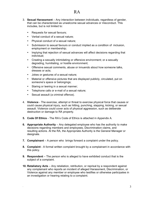- 3. **Sexual Harassment** Any interaction between individuals, regardless of gender, that can be characterized as unwelcome sexual advances or misconduct. This includes, but is not limited to:
	- Requests for sexual favours;
	- Verbal conduct of a sexual nature;
	- Physical conduct of a sexual nature;
	- Submission to sexual favours or conduct implied as a condition of inclusion, employment or membership;
	- Implying that rejection of sexual advances will affect decisions regarding that individual;
	- Creating a sexually intimidating or offensive environment; or a sexually degrading, humiliating, or hostile environment;
	- Offensive sexual comments, abuse or innuendo about how someone talks, dresses or acts;
	- Jokes or gestures of a sexual nature;
	- Material or offensive pictures that are displayed publicly, circulated, put on someone's space or belongings;
	- Staring or leering in a sexual manner;
	- Telephone calls or e-mail of a sexual nature;
	- Sexual assault (a criminal offence).
- 4. **Violence** The exercise, attempt or threat to exercise physical force that causes or could cause physical injury, such as hitting, punching, slapping, kicking, or sexual assault. Violence could cover acts of physical aggression, such as deliberate destruction or damage to RA property.
- **5. Code Of Ethics** The RA's Code of Ethics is attached in Appendix A.
- **6. Appropriate Authority** Any delegated employee who has the authority to make decisions regarding members and employees, Discrimination claims, and resulting actions. At the RA, the Appropriate Authority is the General Manager or designate.
- **7. Complainant** A person who brings forward a complaint under the policy.
- **8. Complaint** A formal written complaint brought by a complainant in accordance with this policy.
- **9. Respondent** The person who is alleged to have exhibited conduct that is the subject of a complaint.
- **10. Retaliatory Acts** Any retaliation, retribution, or reprisal by a respondent against any complainant who reports an incident of alleged Harassment, Discrimination, or Violence against any member or employee who testifies or otherwise participates in an investigation or hearing relating to a complaint.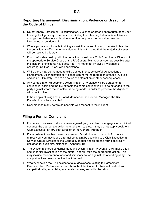#### **Reporting Harassment, Discrimination, Violence or Breach of the Code of Ethics**

- 1. Do not ignore Harassment, Discrimination, Violence or other inappropriate behaviour thinking it will go away. The person exhibiting the offending behavior is not likely to change their behaviour without intervention; to ignore the behaviour may be interpreted as condoning it.
- 2. Where you are comfortable in doing so, ask the person to stop, or make it clear that the behaviour is offensive or unwelcome. It is anticipated that the majority of issues will be resolved this way.
- 3. If uncomfortable dealing with the behaviour, speak to a Club Executive, a Director of the appropriate Service Group or the RA General Manager as soon as possible after the incident or incidents have occurred. Try not to get involved if Violence is occurring. Call for RA or Police assistance.
- 4. While there may be the need to tell a trusted friend, be careful. Accusations of Harassment, Discrimination or Violence can harm the reputation of those involved and could, ultimately, lead to an action of defamation or other consequences.
- 5. Any complaint of Harassment, Discrimination or Violence will be treated on a confidential basis and the RA expects the same confidentiality to be extended to the party against whom the complaint is being made, in order to preserve the dignity of all those involved.
- 6. If the complaint is against a Board Member or the General Manager, the RA President must be consulted.
- 7. Document as many details as possible with respect to the incident.

#### **Filing a Formal Complaint**

- 1. If a person harasses or discriminates against you, is violent, or engages in prohibited conduct, the appropriate action is to tell them to stop. If they do not stop, speak to a Club Executive, an RA Staff Director or the General Manager.
- 2. If you believe there has been Harassment, Discrimination or an act of Violence unresolved, you may lodge a formal complaint by speaking to a Club Executive, a Service Group, Director or the General Manager and fill out the form specifically designed for such circumstances. (Appendix B)
- 3. The Officer in charge of Harassment and Discrimination Prevention, will make a full and impartial investigation of the matter, and will take the appropriate action. This may include recommendations for disciplinary action against the offending party. The complainant and respondent will be informed.
- 4. Whatever action the RA decides to take, grievances relating to Harassment, Discrimination, Violence or serious breach of the Code of Ethics will be dealt with sympathetically, impartially, in a timely manner, and with discretion.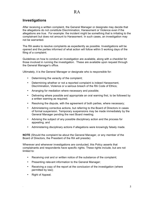#### **Investigations**

After receiving a written complaint, the General Manager or designate may decide that the allegations do not constitute Discrimination, Harassment or Violence even if the allegations are true. For example: the incident might be something that is irritating to the complainant but does not amount to Harassment. In such cases, an investigation may not be warranted.

The RA seeks to resolve complaints as expediently as possible. Investigations will be opened and the parties informed of what action will follow within 5 working days of the filing of a complaint.

Guidelines on how to conduct an investigation are available, along with a checklist for those involved in running the investigation. These are available upon request through the General Manager's office.

Ultimately, it is the General Manager or designate who is responsible for:

- Determining the veracity of the complaint;
- Determining whether or not a reported complaint is indeed Harassment, Discrimination, Violence or a serious breach of the RA Code of Ethics;
- Arranging for mediation where necessary and possible;
- Delivering where possible and appropriate an oral warning first, to be followed by a written warning as required;
- Resolving the dispute, with the agreement of both parties, where necessary;
- Administering corrective actions, but referring to the Board of Directors in cases of formal suspension. Temporary suspensions may be made immediately by the General Manager pending the next Board meeting;
- Advising the subject of any possible disciplinary action and the process for appealing; and
- Administering disciplinary actions if allegations were knowingly falsely made.

**NOTE** (Should the complaint be about the General Manager, or any member of the Board of Directors, the President of the RA will preside)

Wherever and whenever investigations are conducted, this Policy asserts that complainants and respondents have specific rights. These rights include, but are not limited to:

- Receiving oral and or written notice of the substance of the complaint;
- Presenting relevant information to the General Manager;
- Receiving a copy of the report at the conclusion of the investigation (where permitted by law);
- Right of Appeal;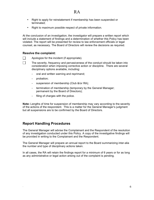- Right to apply for reinstatement if membership has been suspended or terminated;
- Right to maximum possible respect of private information.

At the conclusion of an investigation, the investigator will prepare a written report which will include a statement of findings and a determination of whether this Policy has been violated. The report will be presented for review to law enforcement officials or legal counsel, as necessary. The Board of Directors will review the decisions as required.

#### **Resolve the complaint:**

П  $\Box$  Apologize for the incident (if appropriate).

The severity, frequency and pervasiveness of the conduct should be taken into consideration when imposing corrective action or discipline. There are several disciplinary options available, including:

- oral and written warning and reprimand;
- probation;
- suspension of membership (Club &/or RA);
- termination of membership (temporary by the General Manager; permanent by the Board of Directors);
- filing of charges with the police.

**Note:** Lengths of time for suspension of membership may vary according to the severity of the actions of the respondent. This is a matter for the General Manager's judgment but all suspensions are to be confirmed by the Board of Directors.

#### **Report Handling Procedures**

The General Manager will advise the Complainant and the Respondent of the resolution of any investigation conducted under this Policy. A copy of the investigative findings will be provided in writing to the Complainant and the Respondent.

The General Manager will prepare an annual report to the Board summarizing inter-alia the number and type of disciplinary actions taken.

In all cases, the RA will retain the findings report for a minimum of 6 years or for as long as any administrative or legal action arising out of the complaint is pending.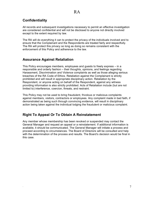#### **Confidentiality**

All records and subsequent investigations necessary to permit an effective investigation are considered confidential and will not be disclosed to anyone not directly involved except to the extent required by law.

The RA will do everything it can to protect the privacy of the individuals involved and to ensure that the Complainant and the Respondents are treated fairly and respectfully. The RA will protect this privacy so long as doing so remains consistent with the enforcement of this Policy and adherence to the law.

#### **Assurance Against Retaliation**

This Policy encourages members, employees and guests to freely express – in a responsible and orderly fashion – their thoughts, opinions, and feelings regarding Harassment, Discrimination and Violence complaints as well as those alleging serious breaches of the RA Code of Ethics. Retaliation against the Complainant is strictly prohibited and will result in appropriate disciplinary action. Retaliation by the Respondent, or anyone acting on behalf of the Respondent, against any witness providing information is also strictly prohibited. Acts of Retaliation include (but are not limited to) interference, coercion, threats, and restraint.

This Policy may not be used to bring fraudulent, frivolous or malicious complaints against members, visitors, contractors or employees. Any complaint made in bad faith, if demonstrated as being such through convincing evidence, will result in disciplinary action being taken against the individual lodging the fraudulent or malicious complaint.

#### **Right To Appeal Or To Obtain A Reinstatement**

Any member whose membership has been revoked or suspended may contact the General Manager and request an appeal or a reinstatement. If additional information is available, it should be communicated. The General Manager will initiate a process and proceed according to circumstances. The Board of Directors will be consulted and help with the determination of the process and results. The Board's decision would be final in this case.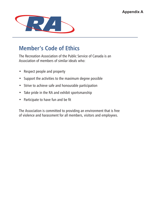

# **Member's Code of Ethics**

The Recreation Association of the Public Service of Canada is an Association of members of similar ideals who:

- Respect people and property
- Support the activities to the maximum degree possible
- Strive to achieve safe and honourable participation
- Take pride in the RA and exhibit sportsmanship
- Participate to have fun and be fit

The Association is committed to providing an environment that is free of violence and harassment for all members, visitors and employees.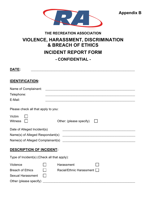

**Appendix B**

#### **THE RECREATION ASSOCIATION**

## **VIOLENCE, HARASSMENT, DISCRIMINATION & BREACH OF ETHICS INCIDENT REPORT FORM**

### **- CONFIDENTIAL -**

**DATE:** \_\_\_\_\_\_\_\_\_\_\_\_\_\_\_\_\_\_\_\_\_\_\_\_\_\_\_\_\_\_\_\_\_\_\_\_\_\_\_\_\_\_\_\_\_\_\_\_\_\_\_\_\_\_\_\_\_\_\_\_\_\_\_\_\_\_\_\_\_\_\_\_\_\_\_\_\_\_\_\_ **IDENTIFICATION:** Name of Complainant: \_\_\_\_\_\_\_\_\_\_\_\_\_\_\_\_\_\_\_\_\_\_\_\_\_\_\_\_\_\_\_\_\_\_\_\_\_\_\_\_\_\_\_\_\_\_\_\_\_\_\_\_\_\_\_\_\_\_\_\_\_\_\_\_\_\_\_\_\_ Telephone: \_\_\_\_\_\_\_\_\_\_\_\_\_\_\_\_\_\_\_\_\_\_\_\_\_\_\_\_\_\_\_\_\_\_\_\_\_\_\_\_\_\_\_\_\_\_\_\_\_\_\_\_\_\_\_\_\_\_\_\_\_\_\_\_\_\_\_\_\_

E-Mail: \_\_\_\_\_\_\_\_\_\_\_\_\_\_\_\_\_\_\_\_\_\_\_\_\_\_\_\_\_\_\_\_\_\_\_\_\_\_\_\_\_\_\_\_\_\_\_\_\_\_\_\_\_\_\_\_\_\_\_\_\_\_\_\_\_\_\_\_\_

Please check all that apply to you:

| Victim<br>Witness                 | Other: (please specify) $\Box$ |  |
|-----------------------------------|--------------------------------|--|
| Date of Alleged Incident(s)       |                                |  |
| Name(s) of Alleged Respondant(s)  |                                |  |
| Name(s) of Alleged Complainant(s) |                                |  |
| <b>DESCRIPTION OF INCIDENT:</b>   |                                |  |

## Type of Incident(s) (Check all that apply): Violence  $\Box$  Harassment Breach of Ethics  $\Box$  Racial/Ethnic Harassment  $\Box$ Sexual Harassment  $\Box$ Other (please specify) \_\_\_\_\_\_\_\_\_\_\_\_\_\_\_\_\_\_\_\_\_\_\_\_\_\_\_\_\_\_\_\_\_\_\_\_\_\_\_\_\_\_\_\_\_\_\_\_\_\_\_\_\_\_\_\_\_\_\_\_\_\_\_\_\_\_\_\_\_\_\_